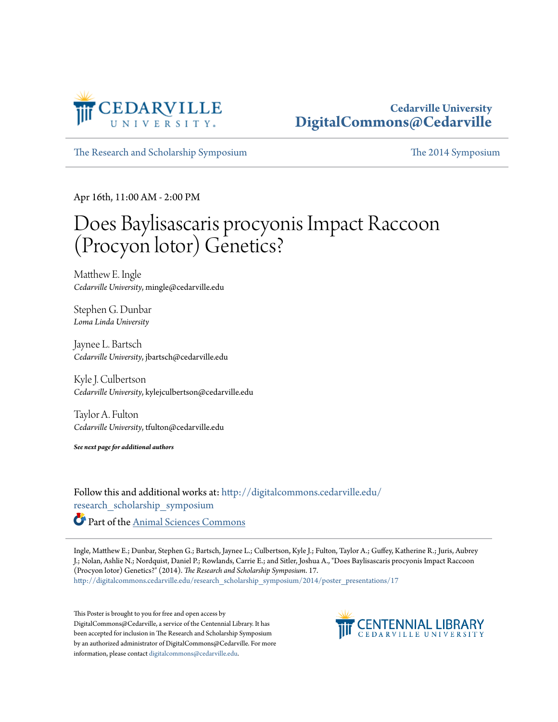

### **Cedarville University [DigitalCommons@Cedarville](http://digitalcommons.cedarville.edu?utm_source=digitalcommons.cedarville.edu%2Fresearch_scholarship_symposium%2F2014%2Fposter_presentations%2F17&utm_medium=PDF&utm_campaign=PDFCoverPages)**

[The Research and Scholarship Symposium](http://digitalcommons.cedarville.edu/research_scholarship_symposium?utm_source=digitalcommons.cedarville.edu%2Fresearch_scholarship_symposium%2F2014%2Fposter_presentations%2F17&utm_medium=PDF&utm_campaign=PDFCoverPages) [The 2014 Symposium](http://digitalcommons.cedarville.edu/research_scholarship_symposium/2014?utm_source=digitalcommons.cedarville.edu%2Fresearch_scholarship_symposium%2F2014%2Fposter_presentations%2F17&utm_medium=PDF&utm_campaign=PDFCoverPages)

Apr 16th, 11:00 AM - 2:00 PM

### Does Baylisascaris procyonis Impact Raccoon (Procyon lotor) Genetics?

Matthew E. Ingle *Cedarville University*, mingle@cedarville.edu

Stephen G. Dunbar *Loma Linda University*

Jaynee L. Bartsch *Cedarville University*, jbartsch@cedarville.edu

Kyle J. Culbertson *Cedarville University*, kylejculbertson@cedarville.edu

Taylor A. Fulton *Cedarville University*, tfulton@cedarville.edu

*See next page for additional authors*

Follow this and additional works at: [http://digitalcommons.cedarville.edu/](http://digitalcommons.cedarville.edu/research_scholarship_symposium?utm_source=digitalcommons.cedarville.edu%2Fresearch_scholarship_symposium%2F2014%2Fposter_presentations%2F17&utm_medium=PDF&utm_campaign=PDFCoverPages) [research\\_scholarship\\_symposium](http://digitalcommons.cedarville.edu/research_scholarship_symposium?utm_source=digitalcommons.cedarville.edu%2Fresearch_scholarship_symposium%2F2014%2Fposter_presentations%2F17&utm_medium=PDF&utm_campaign=PDFCoverPages) Part of the [Animal Sciences Commons](http://network.bepress.com/hgg/discipline/76?utm_source=digitalcommons.cedarville.edu%2Fresearch_scholarship_symposium%2F2014%2Fposter_presentations%2F17&utm_medium=PDF&utm_campaign=PDFCoverPages)

Ingle, Matthew E.; Dunbar, Stephen G.; Bartsch, Jaynee L.; Culbertson, Kyle J.; Fulton, Taylor A.; Guffey, Katherine R.; Juris, Aubrey J.; Nolan, Ashlie N.; Nordquist, Daniel P.; Rowlands, Carrie E.; and Sitler, Joshua A., "Does Baylisascaris procyonis Impact Raccoon (Procyon lotor) Genetics?" (2014). *The Research and Scholarship Symposium*. 17. [http://digitalcommons.cedarville.edu/research\\_scholarship\\_symposium/2014/poster\\_presentations/17](http://digitalcommons.cedarville.edu/research_scholarship_symposium/2014/poster_presentations/17?utm_source=digitalcommons.cedarville.edu%2Fresearch_scholarship_symposium%2F2014%2Fposter_presentations%2F17&utm_medium=PDF&utm_campaign=PDFCoverPages)

This Poster is brought to you for free and open access by DigitalCommons@Cedarville, a service of the Centennial Library. It has been accepted for inclusion in The Research and Scholarship Symposium by an authorized administrator of DigitalCommons@Cedarville. For more information, please contact [digitalcommons@cedarville.edu.](mailto:digitalcommons@cedarville.edu)

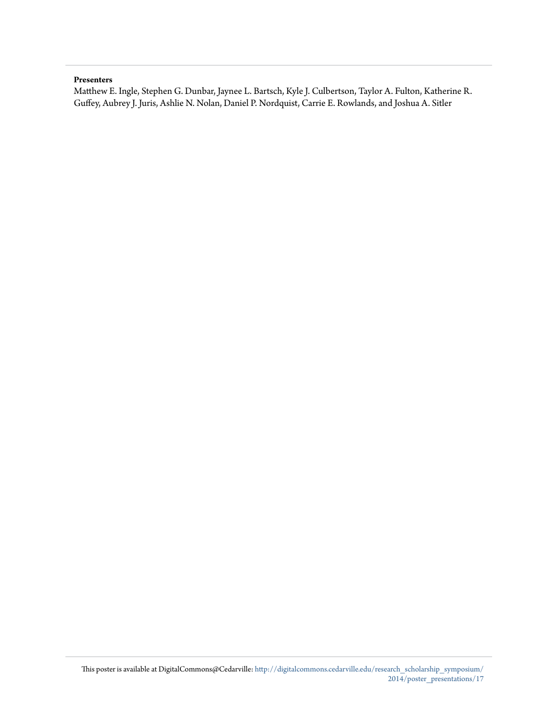### **Presenters**

Matthew E. Ingle, Stephen G. Dunbar, Jaynee L. Bartsch, Kyle J. Culbertson, Taylor A. Fulton, Katherine R. Guffey, Aubrey J. Juris, Ashlie N. Nolan, Daniel P. Nordquist, Carrie E. Rowlands, and Joshua A. Sitler